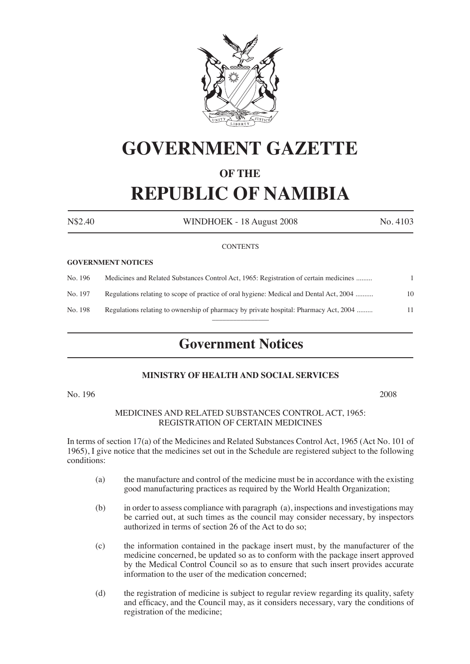

# **GOVERNMENT GAZETTE**

## **OF THE REPUBLIC OF NAMIBIA**

| N\$2.40 | WINDHOEK - 18 August 2008                                                               | No. 4103 |
|---------|-----------------------------------------------------------------------------------------|----------|
|         | <b>CONTENTS</b>                                                                         |          |
|         | <b>GOVERNMENT NOTICES</b>                                                               |          |
| No. 196 | Medicines and Related Substances Control Act, 1965: Registration of certain medicines   |          |
| No. 197 | Regulations relating to scope of practice of oral hygiene: Medical and Dental Act, 2004 | 10       |

No. 198 Regulations relating to ownership of pharmacy by private hospital: Pharmacy Act, 2004 ......... 11  $\overline{\phantom{a}}$ 

## **Government Notices**

### **MINISTRY OF HEALTH AND SOCIAL SERVICES**

No. 196 2008

#### MEDICINES AND RELATED SUBSTANCES CONTROL ACT, 1965: REGISTRATION OF CERTAIN MEDICINES

In terms of section 17(a) of the Medicines and Related Substances Control Act, 1965 (Act No. 101 of 1965), I give notice that the medicines set out in the Schedule are registered subject to the following conditions:

- (a) the manufacture and control of the medicine must be in accordance with the existing good manufacturing practices as required by the World Health Organization;
- (b) in order to assess compliance with paragraph (a), inspections and investigations may be carried out, at such times as the council may consider necessary, by inspectors authorized in terms of section 26 of the Act to do so;
- (c) the information contained in the package insert must, by the manufacturer of the medicine concerned, be updated so as to conform with the package insert approved by the Medical Control Council so as to ensure that such insert provides accurate information to the user of the medication concerned;
- (d) the registration of medicine is subject to regular review regarding its quality, safety and efficacy, and the Council may, as it considers necessary, vary the conditions of registration of the medicine;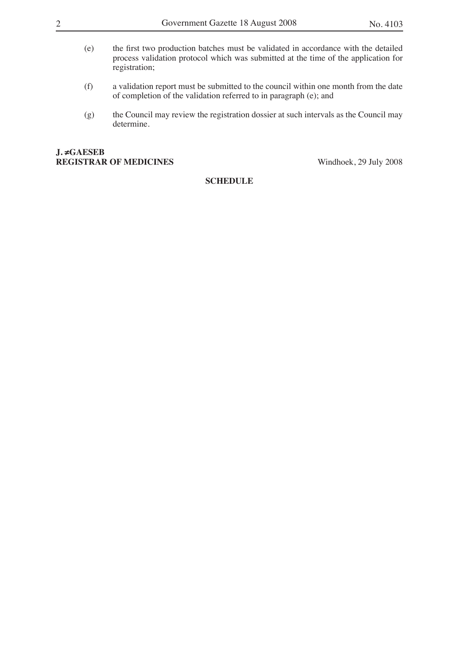- (e) the first two production batches must be validated in accordance with the detailed process validation protocol which was submitted at the time of the application for registration;
- (f) a validation report must be submitted to the council within one month from the date of completion of the validation referred to in paragraph (e); and
- (g) the Council may review the registration dossier at such intervals as the Council may determine.

#### **J. ≠GAESEB REGISTRAR OF MEDICINES** Windhoek, 29 July 2008

### **SCHEDULE**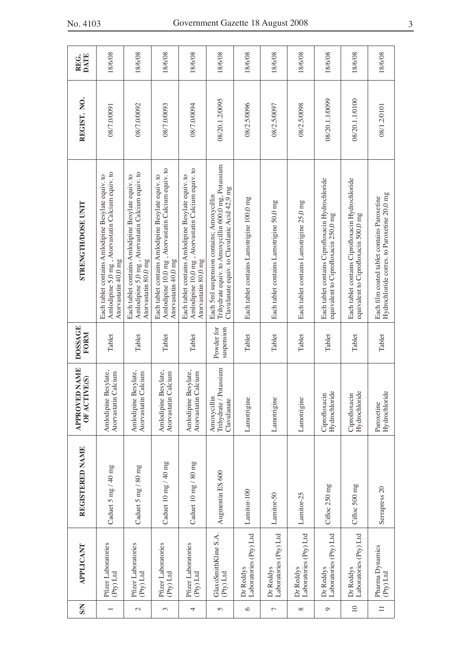| <b>S/N</b>     | APPLICANT                           | REGISTERED NAME          | <b>APPROVED NAME</b><br>IVE(S)<br>OFACT              | <b>DOSSAGE</b><br>FORM   | STRENGTH/DOSE UNIT                                                                                                                                 | REGIST. NO.    | <b>DATE</b><br>REG. |
|----------------|-------------------------------------|--------------------------|------------------------------------------------------|--------------------------|----------------------------------------------------------------------------------------------------------------------------------------------------|----------------|---------------------|
|                | Pfizer Laboratories<br>$(Py)$ Ltd   | Caduet 5 mg / 40 mg      | Amlodipine Besylate,<br>Atorvastatin Calcium         | Tablet                   | Amlodipine 5,0 mg, Atorvastatin Calcium equiv. to<br>Each tablet contains Amlodipine Besylate equiv. to<br>Atorvastatin 40,0 mg                    | 08/7.0/0091    | 18/6/08             |
| $\mathcal{C}$  | Pfizer Laboratories<br>(Pty) Ltd    | Caduet 5 mg / 80 mg      | Besylate,<br>Atorvastatin Calcium<br>Amlodipine      | Tablet                   | Amlodipine 5,0 mg, Atorvastatin Calcium equiv. to<br>Each tablet contains Amlodipine Besylate equiv. to<br>Atorvastatin 80,0 mg                    | 08/7.0/0092    | 18/6/08             |
| 3              | Pfizer Laboratories<br>(Pty) Ltd    | Caduet 10 mg / 40 mg     | Besylate,<br>Atorvastatin Calcium<br>Amlodipine      | Tablet                   | Amlodipine 10,0 mg, Atorvastatin Calcium equiv. to<br>Each tablet contains Amlodipine Besylate equiv. to<br>Atorvastatin 40,0 mg                   | 08/7.0/0093    | 18/6/08             |
| 4              | Pfizer Laboratories<br>(Pty) Ltd    | Caduet 10 mg / 80 mg     | Besylate,<br>Atorvastatin Calcium<br>Amlodipine      | Tablet                   | Amlodipine 10,0 mg, Atorvastatin Calcium equiv. to<br>Each tablet contains Amlodipine Besylate equiv. to<br>Atorvastatin 80,0 mg                   | 08/7.0/0094    | 18/6/08             |
| $\overline{5}$ | GlaxoSmithKline S.A.<br>(Pty) Ltd   | Augmentin ES 600         | Trihydrate / Potassium<br>Amoxycillin<br>Clavulanate | Powder for<br>suspension | Trihydrate equiv. to Amoxycillin 600,0 mg, Potassium<br>Clavulanate equiv. to Clavulanic Acid 42,9 mg<br>Each 5ml suspension contains; Amoxycillin | 08/20.1.2/0095 | 18/6/08             |
| $\circ$        | Laboratories (Pty) Ltd<br>Dr Reddys | Lamitor-100              | Lamotrigine                                          | Tablet                   | Each tablet contains Lamotrigine 100,0 mg                                                                                                          | 08/2.5/0096    | 18/6/08             |
| $\overline{ }$ | Laboratories (Pty) Ltd<br>Dr Reddys | Lamitor-50               | Lamotrigine                                          | Tablet                   | Each tablet contains Lamotrigine 50,0 mg                                                                                                           | 08/2.5/0097    | 18/6/08             |
| ∞              | Laboratories (Pty) Ltd<br>Dr Reddys | Lamitor-25               | Lamotrigine                                          | Tablet                   | Each tablet contains Lamotrigine 25,0 mg                                                                                                           | 08/2.5/0098    | 18/6/08             |
| $\circ$        | Laboratories (Pty) Ltd<br>Dr Reddys | Cifloc 250 mg            | Hydrochloride<br>Ciprofloxacin                       | Tablet                   | Each tablet contains Ciprofloxacin Hydrochloride<br>equivalent to Ciprofloxacin 250,0 mg                                                           | 08/20.1.1/0099 | 18/6/08             |
| $\supseteq$    | Laboratories (Pty) Ltd<br>Dr Reddys | Cifloc 500 mg            | Hydrochloride<br>Ciprofloxacin                       | Tablet                   | Each tablet contains Ciprofloxacin Hydrochloride<br>equivalent to Ciprofloxacin 500,0 mg                                                           | 08/20.1.1/0100 | 18/6/08             |
| $\equiv$       | Pharma Dynamics<br>(Pty) Ltd        | Serrapress <sub>20</sub> | ide<br>Hydrochlor<br>Paroxetine                      | Tablet                   | Hydrochloride corres. to Paroxetine 20,0 mg<br>Each film coated tablet contains Paroxetine                                                         | 08/1.2/0101    | 18/6/08             |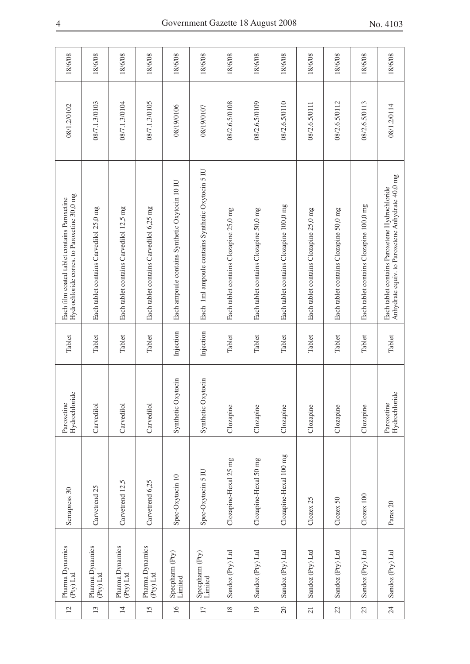| Serrapress 30<br>Pharma Dynamics<br>(Pty) Ltd                          |  | Hydrochloride<br>Paroxetine | Tablet    | Hydrochloride corres. to Paroxetine 30,0 mg<br>Each film coated tablet contains Paroxetine        | 08/1.2/0102   | 18/6/08 |
|------------------------------------------------------------------------|--|-----------------------------|-----------|---------------------------------------------------------------------------------------------------|---------------|---------|
| Carvetrend 25<br>Pharma Dynamics<br>(Pty) Ltd                          |  | Carvedilol                  | Tablet    | Each tablet contains Carvedilol 25,0 mg                                                           | 08/7.1.3/0103 | 18/6/08 |
| Carvedilol<br>Carvetrend 12,5<br>Pharma Dynamics<br>(Pty) Ltd          |  |                             | Tablet    | Each tablet contains Carvedilol 12,5 mg                                                           | 08/7.1.3/0104 | 18/6/08 |
| Carvedilol<br>Carvetrend 6,25<br>Pharma Dynamics<br>(Pty) Ltd          |  |                             | Tablet    | Each tablet contains Carvedilol 6,25 mg                                                           | 08/7.1.3/0105 | 18/6/08 |
| Synthetic Oxytocin<br>Spec-Oxytocin 10<br>Specpharm (Pty)<br>Limited   |  |                             | Injection | Each ampoule contains Synthetic Oxytocin 10 IU                                                    | 08/19/0106    | 18/6/08 |
| Synthetic Oxytocin<br>Spec-Oxytocin 5 IU<br>Specpharm (Pty)<br>Limited |  |                             | Injection | Each 1ml ampoule contains Synthetic Oxytocin 5 IU                                                 | 08/19/0107    | 18/6/08 |
| Clozapine<br>Clozapine-Hexal 25 mg<br>Sandoz (Pty) Ltd                 |  |                             | Tablet    | Each tablet contains Clozapine 25,0 mg                                                            | 08/2.6.5/0108 | 18/6/08 |
| Clozapine<br>Clozapine-Hexal 50 mg<br>Sandoz (Pty) Ltd                 |  |                             | Tablet    | Each tablet contains Clozapine 50,0 mg                                                            | 08/2.6.5/0109 | 18/6/08 |
| Clozapine<br>Clozapine-Hexal 100 mg<br>Sandoz (Pty) Ltd                |  |                             | Tablet    | Each tablet contains Clozapine 100,0 mg                                                           | 08/2.6.5/0110 | 18/6/08 |
| Clozapine<br>Clozex 25<br>Sandoz (Pty) Ltd                             |  |                             | Tablet    | Each tablet contains Clozapine 25,0 mg                                                            | 08/2.6.5/0111 | 18/6/08 |
| Clozapine<br>Clozex 50<br>Sandoz (Pty) Ltd                             |  |                             | Tablet    | Each tablet contains Clozapine 50,0 mg                                                            | 08/2.6.5/0112 | 18/6/08 |
| Clozapine<br>$ClozeX$ 100<br>Sandoz (Pty) Ltd                          |  |                             | Tablet    | Each tablet contains Clozapine 100,0 mg                                                           | 08/2.6.5/0113 | 18/6/08 |
| Hydrochloride<br>Paroxetine<br>Parax $20$<br>Sandoz (Pty) Ltd          |  |                             | Tablet    | Anhydrate equiv. to Paroxetene Anhydrate 40,0 mg<br>Each tablet contains Paroxetene Hydrochloride | 08/1.2/0114   | 18/6/08 |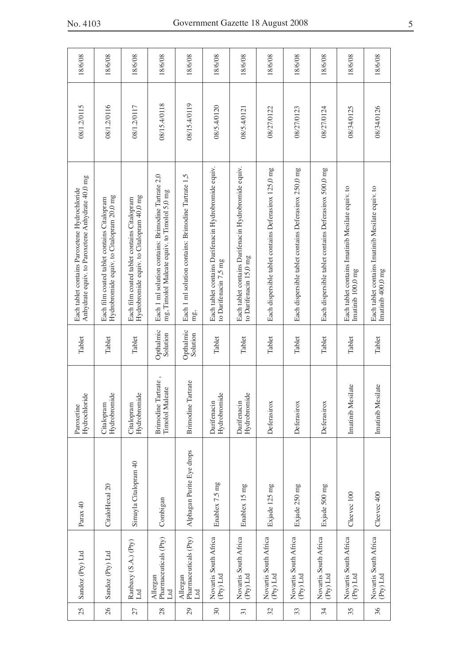| 25              | Sandoz (Pty) Ltd                         | Parax 40                  | de<br>Hydrochlor<br>Paroxetine                   | Tablet                | Anhydrate equiv. to Paroxetene Anhydrate 40,0 mg<br>Each tablet contains Paroxetene Hydrochloride   | 08/1.2/0115  | 18/6/08 |
|-----------------|------------------------------------------|---------------------------|--------------------------------------------------|-----------------------|-----------------------------------------------------------------------------------------------------|--------------|---------|
| 26              | Sandoz (Pty) Ltd                         | CitaloHexal 20            | Hydrobromide<br>Citalopram                       | Tablet                | Hydrobromide equiv. to Citalopram 20,0 mg<br>Each film coated tablet contains Citalopram            | 08/1.2/0116  | 18/6/08 |
| 27              | Ranbaxy (S.A.) (Pty)<br>Ltd              | Simayla Citalopram 40     | Hydrobromide<br>Citalopram                       | Tablet                | Hydrobromide equiv. to Citalopram 40,0 mg<br>Each film coated tablet contains Citalopram            | 08/1.2/0117  | 18/6/08 |
| 28              | Pharmaceuticals (Pty)<br>Allergan<br>Ltd | Combigan                  | Tartrate,<br><b>Timolol Maleate</b><br>Brimodine | Opthalmic<br>Solution | Each 1 ml solution contains: Brimodine Tartrate 2,0<br>mg, Timolol Maleate equiv. to Timolol 5,0 mg | 08/15.4/0118 | 18/6/08 |
| $\overline{29}$ | Pharmaceuticals (Pty)<br>Allergan<br>Ltd | Alphagan Purite Eye drops | <b>Brimodine Tartrate</b>                        | Opthalmic<br>Solution | Each 1 ml solution contains: Brimodine Tartrate 1,5<br>mg,                                          | 08/15.4/0119 | 18/6/08 |
| $30\,$          | Novartis South Africa<br>(Pty) Ltd       | Enablex 7.5 mg            | Hydrobromide<br>Darifenacin                      | Tablet                | Each tablet contains Darifenacin Hydrobromide equiv.<br>to Darifenacin 7,5 mg                       | 08/5.4/0120  | 18/6/08 |
| $\overline{31}$ | Novartis South Africa<br>(Pty) Ltd       | Enablex 15 mg             | Hydrobromide<br>Darifenacin                      | Tablet                | Each tablet contains Darifenacin Hydrobromide equiv.<br>to Darifenacin 15,0 mg                      | 08/5.4/0121  | 18/6/08 |
| 32              | Novartis South Africa<br>(Pty) Ltd       | Exjade 125 mg             | Deferasirox                                      | Tablet                | Each dispersible tablet contains Deferasirox 125,0 mg                                               | 08/27/0122   | 18/6/08 |
| 33              | Novartis South Africa<br>(Pty) Ltd       | Exjade 250 mg             | Deferasirox                                      | Tablet                | Each dispersible tablet contains Deferasirox 250,0 mg                                               | 08/27/0123   | 18/6/08 |
| 34              | Novartis South Africa<br>(Pty) Ltd       | Exjade 500 mg             | Deferasirox                                      | Tablet                | Each dispersible tablet contains Deferasirox 500,0 mg                                               | 08/27/0124   | 18/6/08 |
| 35              | Novartis South Africa<br>(Pty) Ltd       | Cleevec 100               | Imatinib Mesilate                                | Tablet                | Each tablet contains Imatinib Mesilate equiv. to<br>Imatinib 100,0 mg                               | 08/34/0125   | 18/6/08 |
| 36              | Novartis South Africa<br>(Pty) Ltd       | Cleevec 400               | Imatinib Mesilate                                | Tablet                | Each tablet contains Imatinib Mesilate equiv. to<br>Imatinib 400,0 mg                               | 08/34/0126   | 18/6/08 |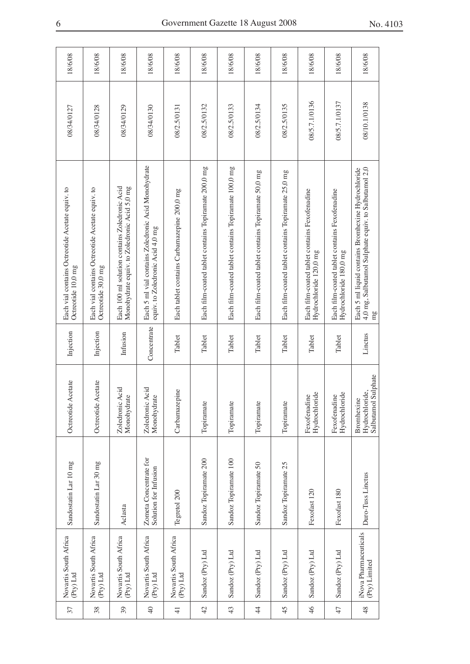| Novartis South Africa<br>$(Py)$ Ltd    | Sandostatin Lar 10 mg                           | Octreotide Acetate                                  | Injection   | Each vial contains Octreotide Acetate equiv. to<br>Octreotide 10,0 mg                                            | 08/34/0127    | 18/6/08 |
|----------------------------------------|-------------------------------------------------|-----------------------------------------------------|-------------|------------------------------------------------------------------------------------------------------------------|---------------|---------|
| Novartis South Africa<br>$(Py)$ Ltd    | Sandostatin Lar 30 mg                           | Octreotide Acetate                                  | Injection   | Each vial contains Octreotide Acetate equiv. to<br>Octreotide 30,0 mg                                            | 08/34/0128    | 18/6/08 |
| Novartis South Africa<br>$(Py)$ Ltd    | Aclasta                                         | Acid<br>Monohydrate<br>Zoledronic                   | Infusion    | Each 100 ml solution contains Zoledronic Acid<br>Monohydrate equiv. to Zoledronic Acid 5,0 mg                    | 08/34/0129    | 18/6/08 |
| Novartis South Africa<br>$(Py)$ Ltd    | Zometa Concentrate for<br>Solution for Infusion | Acid<br>Monohydrate<br>Zoledronic                   | Concentrate | Each 5 ml vial contains Zoledronic Acid Monohydrate<br>equiv. to Zoledronic Acid 4,0 mg                          | 08/34/0130    | 18/6/08 |
| Novartis South Africa<br>$(Py)$ Ltd    | Tegretol 200                                    | Carbamazepine                                       | Tablet      | Each tablet contains Carbamazepine 200,0 mg                                                                      | 08/2.5/0131   | 18/6/08 |
| Sandoz (Pty) Ltd                       | Sandoz Topiramate 200                           | Topiramate                                          | Tablet      | Each film-coated tablet contains Topiramate 200,0 mg                                                             | 08/2.5/0132   | 18/6/08 |
| Sandoz (Pty) Ltd                       | Sandoz Topiramate 100                           | Topiramate                                          | Tablet      | Each film-coated tablet contains Topiramate 100,0 mg                                                             | 08/2.5/0133   | 18/6/08 |
| Sandoz (Pty) Ltd                       | Sandoz Topiramate 50                            | Topiramate                                          | Tablet      | Each film-coated tablet contains Topiramate 50,0 mg                                                              | 08/2.5/0134   | 18/6/08 |
| Sandoz (Pty) Ltd                       | Sandoz Topiramate 25                            | Topiramate                                          | Tablet      | Each film-coated tablet contains Topiramate 25,0 mg                                                              | 08/2.5/0135   | 18/6/08 |
| Sandoz (Pty) Ltd                       | Fexofast 120                                    | Hydrochloride<br>Fexofenadine                       | Tablet      | Each film-coated tablet contains Fexofenadine<br>Hydrochloride 120,0 mg                                          | 08/5.7.1/0136 | 18/6/08 |
| Sandoz (Pty) Ltd                       | Fexofast 180                                    | Hydrochloride<br>Fexofenadine                       | Tablet      | Each film-coated tablet contains Fexofenadine<br>Hydrochloride 180,0 mg                                          | 08/5.7.1/0137 | 18/6/08 |
| iNova Pharmaceuticals<br>(Pty) Limited | Duro-Tuss Linctus                               | Salbutamol Sulphate<br>Hydrochloride,<br>Bromhexine | Linctus     | 4,0 mg, Salbutamol Sulphate equiv. to Salbutamol 2,0<br>Each 5 ml liquid contains Bromhexine Hydrochloride<br>mg | 08/10.1/0138  | 18/6/08 |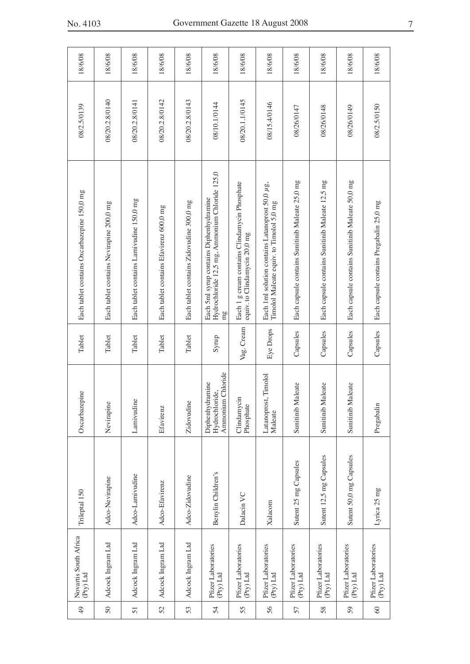| No. 4103 |  |
|----------|--|
|----------|--|

|               | Novartis South Africa              |                         |                                                        |            |                                                                                                 |                |         |
|---------------|------------------------------------|-------------------------|--------------------------------------------------------|------------|-------------------------------------------------------------------------------------------------|----------------|---------|
| $\frac{4}{9}$ | (Pty) Ltd                          | Trileptal 150           | Oxcarbazepine                                          | Tablet     | Each tablet contains Oxcarbazepine 150,0 mg                                                     | 08/2.5/0139    | 18/6/08 |
| $50\,$        | Adcock Ingram Ltd                  | Adco-Nevirapine         | Nevirapine                                             | Tablet     | Each tablet contains Nevirapine 200,0 mg                                                        | 08/20.2.8/0140 | 18/6/08 |
| 51            | Adcock Ingram Ltd                  | Adco-Lamivudine         | Lamivudine                                             | Tablet     | Each tablet contains Lamivudine 150,0 mg                                                        | 08/20.2.8/0141 | 18/6/08 |
| 52            | Adcock Ingram Ltd                  | Adco-Efavirenz          | Efavirenz                                              | Tablet     | Each tablet contains Efavirenz 600,0 mg                                                         | 08/20.2.8/0142 | 18/6/08 |
| 53            | Adcock Ingram Ltd                  | Adco-Zidovudine         | Zidovudine                                             | Tablet     | Each tablet contains Zidovudine 300,0 mg                                                        | 08/20.2.8/0143 | 18/6/08 |
| 54            | Pfizer Laboratories<br>$(Pry)$ Ltd | Benylin Children's      | Ammonium Chloride<br>Diphenhydramine<br>Hydrochloride, | Syrup      | Hydrochloride 12,5 mg, Ammonium Chloride 125,0<br>Each 5ml syrup contains Diphenhydramine<br>mg | 08/10.1/0144   | 18/6/08 |
| 55            | Pfizer Laboratories<br>(Pty) Ltd   | Dalacin VC              | Clindamycin<br>Phosphate                               | Vag. Cream | Each 1 g cream contains Clindamycin Phosphate<br>equiv. to Clindamycin 20,0 mg                  | 08/20.1.1/0145 | 18/6/08 |
| 56            | Pfizer Laboratories<br>(Pty) Ltd   | Xalacom                 | Timolol<br>Latanoprost,<br>Maleate                     | Eye Drops  | Each 1ml solution contains Latanoprost 50,0 µg,<br>Timolol Maleate equiv. to Timolol 5,0 mg     | 08/15.4/0146   | 18/6/08 |
| 57            | Pfizer Laboratories<br>(Pty) Ltd   | Sutent 25 mg Capsules   | leate<br>Sunitinib Mal                                 | Capsules   | Each capsule contains Sunitinib Maleate 25,0 mg                                                 | 08/26/0147     | 18/6/08 |
| 58            | Pfizer Laboratories<br>(Pty) Ltd   | Sutent 12,5 mg Capsules | leate<br>Sunitinib Mal                                 | Capsules   | Each capsule contains Sunitinib Maleate 12,5 mg                                                 | 08/26/0148     | 18/6/08 |
| 59            | Pfizer Laboratories<br>(Pty) Ltd   | Sutent 50,0 mg Capsules | leate<br>Sunitinib Ma                                  | Capsules   | Each capsule contains Sunitinib Maleate 50,0 mg                                                 | 08/26/0149     | 18/6/08 |
| $\degree$     | Pfizer Laboratories<br>(Pty) Ltd   | Lyrica 25 mg            | Pregabalin                                             | Capsules   | Each capsule contains Pregabalin 25,0 mg                                                        | 08/2.5/0150    | 18/6/08 |
|               |                                    |                         |                                                        |            |                                                                                                 |                |         |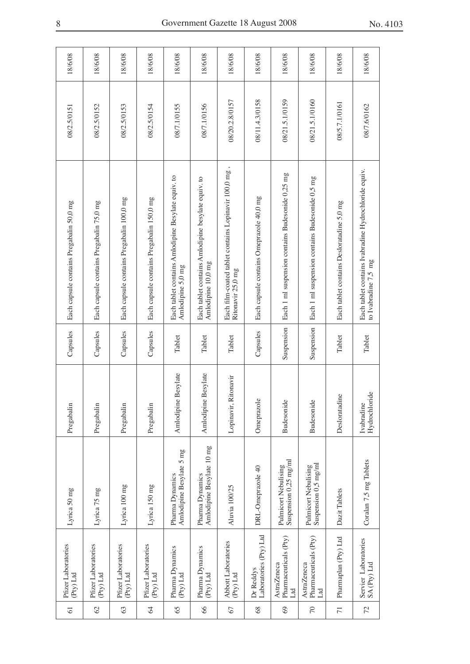| Pfizer Laboratories<br>(Pty) Ltd                                                                    | Lyrica 50 mg | Pregabalin                  | Capsules   | Each capsule contains Pregabalin 50,0 mg                                       | 08/2.5/0151    | 18/6/08 |
|-----------------------------------------------------------------------------------------------------|--------------|-----------------------------|------------|--------------------------------------------------------------------------------|----------------|---------|
| Lyrica 75 mg<br>Pfizer Laboratories<br>(Pty) Ltd                                                    |              | Pregabalin                  | Capsules   | Each capsule contains Pregabalin 75,0 mg                                       | 08/2.5/0152    | 18/6/08 |
| Lyrica 100 mg<br>Pfizer Laboratories<br>(Pty) Ltd                                                   |              | Pregabalin                  | Capsules   | Each capsule contains Pregabalin 100,0 mg                                      | 08/2.5/0153    | 18/6/08 |
| Lyrica 150 mg<br>Pfizer Laboratories<br>(Pty) Ltd                                                   |              | Pregabalin                  | Capsules   | Each capsule contains Pregabalin 150,0 mg                                      | 08/2.5/0154    | 18/6/08 |
| Amlodipine Besylate 5 mg<br>Pharma Dynamics<br>Pharma Dynamics<br>(Pty) Ltd                         |              | Besylate<br>Amlodipine      | Tablet     | Each tablet contains Amlodipine Besylate equiv. to<br>Amlodipine 5,0 mg        | 08/7.1/0155    | 18/6/08 |
| Amlodipine Besylate 10 mg<br>Pharma Dynamics<br>Pharma Dynamics<br>$(Py)$ Ltd                       |              | Besylate<br>Amlodipine      | Tablet     | Each tablet contains Amlodipine besylate equiv. to<br>Amlodipine 10,0 mg       | 08/7.1/0156    | 18/6/08 |
| Aluvia 100/25<br>Abbott Laboratories<br>$(Py)$ Ltd                                                  |              | Lopinavir, Ritonavir        | Tablet     | Each film-coated tablet contains Lopinavir 100,0 mg<br>Ritonavir 25,0 mg       | 08/20.2.8/0157 | 18/6/08 |
| DRL-Omeprazole 40<br>Laboratories (Pty) Ltd<br>Dr Reddys                                            |              | Omeprazole                  | Capsules   | Each capsule contains Omeprazole 40,0 mg                                       | 08/11.4.3/0158 | 18/6/08 |
| Suspension 0,25 mg/ml<br>Pulmicort Nebulising<br>Pharmaceuticals (Pty)<br><b>AstraZeneca</b><br>Ltd |              | Budesonide                  | Suspension | Each 1 ml suspension contains Budesonide 0,25 mg                               | 08/21.5.1/0159 | 18/6/08 |
| Suspension 0,5 mg/ml<br>Pulmicort Nebulising<br>Pharmaceuticals (Pty)<br><b>AstraZeneca</b><br>Ltd  |              | Budesonide                  | Suspension | Each 1 ml suspension contains Budesonide 0,5 mg                                | 08/21.5.1/0160 | 18/6/08 |
| Dazit Tablets<br>Pharmaplan (Pty) Ltd                                                               |              | Desloratadine               | Tablet     | Each tablet contains Desloratadine 5,0 mg                                      | 08/5.7.1/0161  | 18/6/08 |
| Coralan 7,5 mg Tablets<br>Servier Laboratories<br>SA (Pty) Ltd                                      |              | Hydrochloride<br>Ivabradine | Tablet     | Each tablet contains Ivabradine Hydrochloride equiv.<br>to Ivabradine $7,5$ mg | 08/7.6/0162    | 18/6/08 |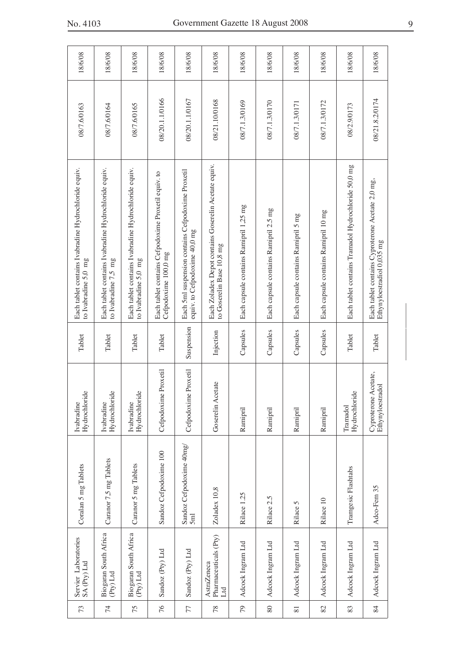| 18/6/08                                                                        | 18/6/08                                                                        | 18/6/08                                                                      | 18/6/08                                                                     | 18/6/08                                                                            | 18/6/08                                                                           | 18/6/08                                | 18/6/08                               | 18/6/08                             | 18/6/08                              | 18/6/08                                             | 18/6/08                                                                        |
|--------------------------------------------------------------------------------|--------------------------------------------------------------------------------|------------------------------------------------------------------------------|-----------------------------------------------------------------------------|------------------------------------------------------------------------------------|-----------------------------------------------------------------------------------|----------------------------------------|---------------------------------------|-------------------------------------|--------------------------------------|-----------------------------------------------------|--------------------------------------------------------------------------------|
| 08/7.6/0163                                                                    | 08/7.6/0164                                                                    | 08/7.6/0165                                                                  | 08/20.1.1/0166                                                              | 08/20.1.1/0167                                                                     | 08/21.10/0168                                                                     | 08/7.1.3/0169                          | 08/7.1.3/0170                         | 08/7.1.3/0171                       | 08/7.1.3/0172                        | 08/2.9/0173                                         | 08/21.8.2/0174                                                                 |
| Each tablet contains Ivabradine Hydrochloride equiv.<br>to Ivabradine $5,0$ mg | Each tablet contains Ivabradine Hydrochloride equiv.<br>to Ivabradine $7,5$ mg | Each tablet contains Ivabradine Hydrochloride equiv.<br>to Ivabradine 5,0 mg | Each tablet contains Cefpodoxime Proxetil equiv. to<br>Cefpodoxime 100,0 mg | Each 5ml suspension contains Cefpodoxime Proxetil<br>equiv. to Cefpodoxime 40,0 mg | Each Zoladex Depot contains Goserelin Acetate equiv.<br>to Goserelin Base 10,8 mg | Each capsule contains Ramipril 1,25 mg | Each capsule contains Ramipril 2.5 mg | Each capsule contains Ramipril 5 mg | Each capsule contains Ramipril 10 mg | Each tablet contains Tramadol Hydrochloride 50,0 mg | Each tablet contains Cyproterone Acetate 2,0 mg,<br>Ethynyloestradiol 0,035 mg |
| Tablet                                                                         | Tablet                                                                         | Tablet                                                                       | Tablet                                                                      | Suspension                                                                         | Injection                                                                         | Capsules                               | Capsules                              | Capsules                            | Capsules                             | Tablet                                              | Tablet                                                                         |
| Hydrochloride<br>Ivabradine                                                    | Hydrochloride<br>Ivabradine                                                    | Hydrochloride<br>Ivabradine                                                  | Cefpodoxime Proxetil                                                        | Cefpodoxime Proxetil                                                               | Goserelin Acetate                                                                 | Ramipril                               | Ramipril                              | Ramipril                            | Ramipril                             | Hydrochloride<br>Tramadol                           | Cyproterone Acetate,<br>Ethynyloestradol                                       |
| Coralan 5 mg Tablets                                                           | Caranor 7,5 mg Tablets                                                         | Caranor 5 mg Tablets                                                         | Sandoz Cefpodoxime 100                                                      | Sandoz Cefpodoxime 40mg/<br>5 <sub>ml</sub>                                        | Zoladex 10,8                                                                      | Rilace 1.25                            | Rilace 2.5                            | Rilace 5                            | Rilace 10                            | Tramgesic Flashtabs                                 | Adco-Fem 35                                                                    |
| Servier Laboratories<br>$\mathsf{SA}\left(\mathsf{Pry}\right)\mathsf{Ltd}$     | Biogaran South Africa<br>$(Py)$ Ltd                                            | Biogaran South Africa<br>$(Py)$ Ltd                                          | Sandoz (Pty) Ltd                                                            | Sandoz (Pty) Ltd                                                                   | Pharmaceuticals (Pty)<br><b>AstraZeneca</b><br>Ltd                                | Adcock Ingram Ltd                      | Adcock Ingram Ltd                     | Adcock Ingram Ltd                   | Adcock Ingram Ltd                    | Adcock Ingram Ltd                                   | Adcock Ingram Ltd                                                              |
| 73                                                                             | $\overline{7}$                                                                 | 75                                                                           | 76                                                                          | 77                                                                                 | 78                                                                                | 79                                     | $80\,$                                | $\overline{8}$                      | 82                                   | 83                                                  | 84                                                                             |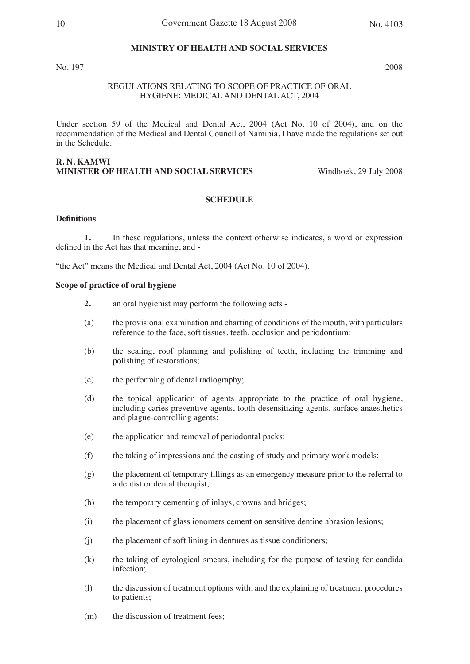#### **MINISTRY OF HEALTH AND SOCIAL SERVICES**

No. 197 2008

#### REGULATIONS RELATING TO SCOPE OF PRACTICE OF ORAL HYGIENE: MEDICAL AND DENTAL ACT, 2004

Under section 59 of the Medical and Dental Act, 2004 (Act No. 10 of 2004), and on the recommendation of the Medical and Dental Council of Namibia, I have made the regulations set out in the Schedule.

#### **R. N. KAMWI MINISTER OF HEALTH AND SOCIAL SERVICES** Windhoek, 29 July 2008

#### **SCHEDULE**

#### **Definitions**

**1.** In these regulations, unless the context otherwise indicates, a word or expression defined in the Act has that meaning, and -

"the Act" means the Medical and Dental Act, 2004 (Act No. 10 of 2004).

#### **Scope of practice of oral hygiene**

- **2.** an oral hygienist may perform the following acts -
- (a) the provisional examination and charting of conditions of the mouth, with particulars reference to the face, soft tissues, teeth, occlusion and periodontium;
- (b) the scaling, roof planning and polishing of teeth, including the trimming and polishing of restorations;
- (c) the performing of dental radiography;
- (d) the topical application of agents appropriate to the practice of oral hygiene, including caries preventive agents, tooth-desensitizing agents, surface anaesthetics and plague-controlling agents;
- (e) the application and removal of periodontal packs;
- (f) the taking of impressions and the casting of study and primary work models:
- (g) the placement of temporary fillings as an emergency measure prior to the referral to a dentist or dental therapist;
- (h) the temporary cementing of inlays, crowns and bridges;
- (i) the placement of glass ionomers cement on sensitive dentine abrasion lesions;
- (j) the placement of soft lining in dentures as tissue conditioners;
- (k) the taking of cytological smears, including for the purpose of testing for candida infection;
- (l) the discussion of treatment options with, and the explaining of treatment procedures to patients;
- (m) the discussion of treatment fees;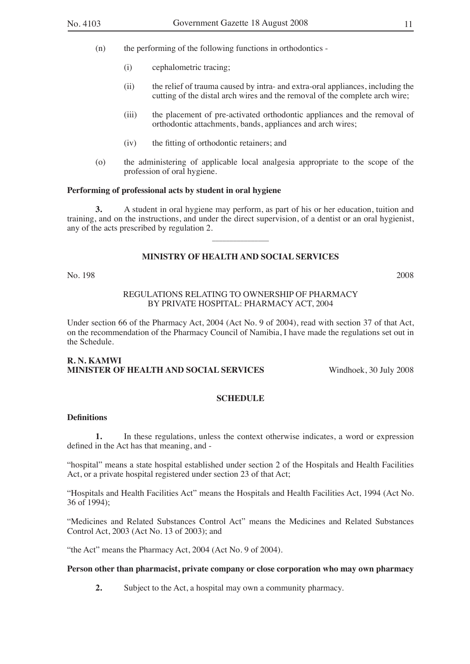- (n) the performing of the following functions in orthodontics
	- (i) cephalometric tracing;
	- (ii) the relief of trauma caused by intra- and extra-oral appliances, including the cutting of the distal arch wires and the removal of the complete arch wire;
	- (iii) the placement of pre-activated orthodontic appliances and the removal of orthodontic attachments, bands, appliances and arch wires;
	- (iv) the fitting of orthodontic retainers; and
- (o) the administering of applicable local analgesia appropriate to the scope of the profession of oral hygiene.

#### **Performing of professional acts by student in oral hygiene**

**3.** A student in oral hygiene may perform, as part of his or her education, tuition and training, and on the instructions, and under the direct supervision, of a dentist or an oral hygienist, any of the acts prescribed by regulation 2.

 $\overline{\phantom{a}}$  , where the contract of the contract of the contract of the contract of the contract of the contract of the contract of the contract of the contract of the contract of the contract of the contract of the contr

#### **MINISTRY OF HEALTH AND SOCIAL SERVICES**

No. 198 2008

#### REGULATIONS RELATING TO OWNERSHIP OF PHARMACY BY PRIVATE HOSPITAL: PHARMACY ACT, 2004

Under section 66 of the Pharmacy Act, 2004 (Act No. 9 of 2004), read with section 37 of that Act, on the recommendation of the Pharmacy Council of Namibia, I have made the regulations set out in the Schedule.

#### **R. N. KAMWI MINISTER OF HEALTH AND SOCIAL SERVICES** Windhoek, 30 July 2008

#### **SCHEDULE**

#### **Definitions**

**1.** In these regulations, unless the context otherwise indicates, a word or expression defined in the Act has that meaning, and -

"hospital" means a state hospital established under section 2 of the Hospitals and Health Facilities Act, or a private hospital registered under section 23 of that Act;

"Hospitals and Health Facilities Act" means the Hospitals and Health Facilities Act, 1994 (Act No. 36 of 1994);

"Medicines and Related Substances Control Act" means the Medicines and Related Substances Control Act, 2003 (Act No. 13 of 2003); and

"the Act" means the Pharmacy Act, 2004 (Act No. 9 of 2004).

#### **Person other than pharmacist, private company or close corporation who may own pharmacy**

**2.** Subject to the Act, a hospital may own a community pharmacy.